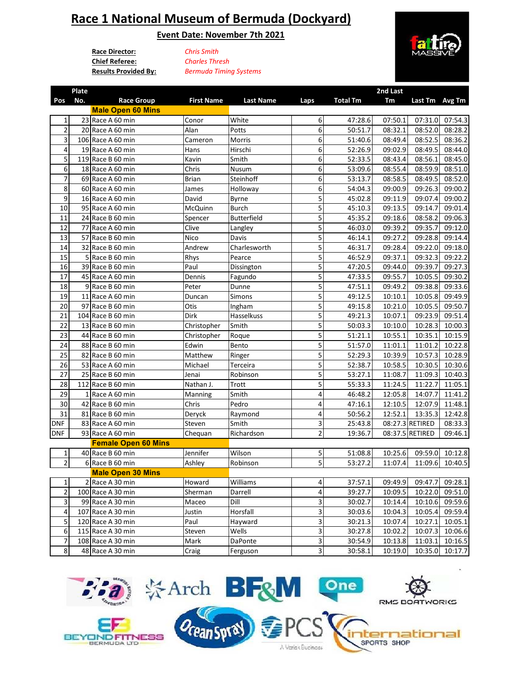## **Race 1 National Museum of Bermuda (Dockyard)**

**Event Date: November 7th 2021**

**Race Director:** *Chris Smith* **Chief Referee: Results Provided By:** *Bermuda Timing Systems*

**Plate** 

*Charles Thresh*



**2nd Last** 

| Pos                     | No. | <b>Race Group</b>          | <b>First Name</b> | <b>Last Name</b> | Laps                    | <b>Total Tm</b> | Tm      | Last Tm Avg Tm  |         |
|-------------------------|-----|----------------------------|-------------------|------------------|-------------------------|-----------------|---------|-----------------|---------|
|                         |     | <b>Male Open 60 Mins</b>   |                   |                  |                         |                 |         |                 |         |
| 1                       |     | 23 Race A 60 min           | Conor             | White            | 6 <sup>1</sup>          | 47:28.6         | 07:50.1 | 07:31.0         | 07:54.3 |
| $\overline{2}$          |     | 20 Race A 60 min           | Alan              | Potts            | 6                       | 50:51.7         | 08:32.1 | 08:52.0         | 08:28.2 |
| 3                       |     | 106 Race A 60 min          | Cameron           | Morris           | 6                       | 51:40.6         | 08:49.4 | 08:52.5         | 08:36.2 |
| 4                       |     | 19 Race A 60 min           | Hans              | Hirschi          | 6                       | 52:26.9         | 09:02.9 | 08:49.5         | 08:44.0 |
| 5                       |     | 119 Race B 60 min          | Kavin             | Smith            | 6                       | 52:33.5         | 08:43.4 | 08:56.1         | 08:45.0 |
| 6                       |     | 18 Race A 60 min           | Chris             | Nusum            | 6                       | 53:09.6         | 08:55.4 | 08:59.9         | 08:51.0 |
| $\overline{7}$          |     | 69 Race A 60 min           | <b>Brian</b>      | Steinhoff        | 6                       | 53:13.7         | 08:58.5 | 08:49.5         | 08:52.0 |
| 8                       |     | 60 Race A 60 min           | James             | Holloway         | 6                       | 54:04.3         | 09:00.9 | 09:26.3         | 09:00.2 |
| 9                       |     | 16 Race A 60 min           | David             | Byrne            | 5                       | 45:02.8         | 09:11.9 | 09:07.4         | 09:00.2 |
| 10                      |     | 95 Race A 60 min           | McQuinn           | <b>Burch</b>     | 5                       | 45:10.3         | 09:13.5 | 09:14.7         | 09:01.4 |
| 11                      |     | 24 Race B 60 min           | Spencer           | Butterfield      | 5                       | 45:35.2         | 09:18.6 | 08:58.2         | 09:06.3 |
| 12                      |     | 77 Race A 60 min           | Clive             | Langley          | 5                       | 46:03.0         | 09:39.2 | 09:35.7         | 09:12.0 |
| 13                      |     | 57 Race B 60 min           | Nico              | Davis            | 5                       | 46:14.1         | 09:27.2 | 09:28.8         | 09:14.4 |
| 14                      |     | 32 Race B 60 min           | Andrew            | Charlesworth     | 5                       | 46:31.7         | 09:28.4 | 09:22.0         | 09:18.0 |
| 15                      |     | 5 Race B 60 min            | Rhys              | Pearce           | 5                       | 46:52.9         | 09:37.1 | 09:32.3         | 09:22.2 |
| 16                      |     | 39 Race B 60 min           | Paul              | Dissington       | 5                       | 47:20.5         | 09:44.0 | 09:39.7         | 09:27.3 |
| 17                      |     | 45 Race A 60 min           | Dennis            | Fagundo          | 5                       | 47:33.5         | 09:55.7 | 10:05.5         | 09:30.2 |
| 18                      |     | 9 Race B 60 min            | Peter             | Dunne            | 5                       | 47:51.1         | 09:49.2 | 09:38.8         | 09:33.6 |
| 19                      |     | 11 Race A 60 min           | Duncan            | Simons           | $\overline{\mathbf{5}}$ | 49:12.5         | 10:10.1 | 10:05.8         | 09:49.9 |
| 20                      |     | 97 Race B 60 min           | Otis              | Ingham           | $\overline{5}$          | 49:15.8         | 10:21.0 | 10:05.5         | 09:50.7 |
| 21                      |     | 104 Race B 60 min          | Dirk              | Hasselkuss       | 5                       | 49:21.3         | 10:07.1 | 09:23.9         | 09:51.4 |
| 22                      |     | 13 Race B 60 min           | Christopher       | Smith            | 5                       | 50:03.3         | 10:10.0 | 10:28.3         | 10:00.3 |
| 23                      |     | 44 Race B 60 min           | Christopher       | Roque            | $\overline{5}$          | 51:21.1         | 10:55.1 | 10:35.1         | 10:15.9 |
| 24                      |     | 88 Race B 60 min           | Edwin             | Bento            | 5                       | 51:57.0         | 11:01.1 | 11:01.2         | 10:22.8 |
| 25                      |     | 82 Race B 60 min           | Matthew           | Ringer           | 5                       | 52:29.3         | 10:39.9 | 10:57.3         | 10:28.9 |
| 26                      |     | 53 Race A 60 min           | Michael           | Terceira         | 5                       | 52:38.7         | 10:58.5 | 10:30.5         | 10:30.6 |
| 27                      |     | 25 Race B 60 min           | Jenai             | Robinson         | 5                       | 53:27.1         | 11:08.7 | 11:09.3         | 10:40.3 |
| 28                      |     | 112 Race B 60 min          | Nathan J.         | Trott            | 5                       | 55:33.3         | 11:24.5 | 11:22.7         | 11:05.1 |
| 29                      |     | 1 Race A 60 min            | Manning           | Smith            | 4                       | 46:48.2         | 12:05.8 | 14:07.7         | 11:41.2 |
| 30                      |     | 42 Race B 60 min           | Chris             | Pedro            | 4                       | 47:16.1         | 12:10.5 | 12:07.9         | 11:48.1 |
| 31                      |     | 81 Race B 60 min           | Deryck            | Raymond          | 4                       | 50:56.2         | 12:52.1 | 13:35.3         | 12:42.8 |
| <b>DNF</b>              |     | 83 Race A 60 min           | Steven            | Smith            | 3                       | 25:43.8         |         | 08:27.3 RETIRED | 08:33.3 |
| <b>DNF</b>              |     | 93 Race A 60 min           | Chequan           | Richardson       | $\overline{2}$          | 19:36.7         |         | 08:37.5 RETIRED | 09:46.1 |
|                         |     | <b>Female Open 60 Mins</b> |                   |                  |                         |                 |         |                 |         |
| 1                       |     | 40 Race B 60 min           | Jennifer          | Wilson           | $\overline{\mathbf{5}}$ | 51:08.8         | 10:25.6 | 09:59.0         | 10:12.8 |
| $\overline{2}$          |     | 6 Race B 60 min            | Ashley            | Robinson         | $\overline{\mathbf{5}}$ | 53:27.2         | 11:07.4 | 11:09.6         | 10:40.5 |
|                         |     | <b>Male Open 30 Mins</b>   |                   |                  |                         |                 |         |                 |         |
| $\mathbf{1}$            |     | 2 Race A 30 min            | Howard            | Williams         | $\vert$                 | 37:57.1         | 09:49.9 | 09:47.7         | 09:28.1 |
| $\mathbf 2$             |     | 100 Race A 30 min          | Sherman           | Darrell          | 4                       | 39:27.7         | 10:09.5 | 10:22.0         | 09:51.0 |
| $\overline{\mathbf{3}}$ |     | 99 Race A 30 min           | Maceo             | Dill             | 3                       | 30:02.7         | 10:14.4 | 10:10.6         | 09:59.6 |
| 4                       |     | 107 Race A 30 min          | Justin            | Horsfall         | 3                       | 30:03.6         | 10:04.3 | 10:05.4         | 09:59.4 |
| 5                       |     | 120 Race A 30 min          | Paul              | Hayward          | 3                       | 30:21.3         | 10:07.4 | 10:27.1         | 10:05.1 |
| 6                       |     | 115 Race A 30 min          | Steven            | Wells            | 3                       | 30:27.8         | 10:02.2 | 10:07.3         | 10:06.6 |
| $\overline{7}$          |     | 108 Race A 30 min          | Mark              | DaPonte          | 3                       | 30:54.9         | 10:13.8 | 11:03.1         | 10:16.5 |
| $\bf 8$                 |     | 48 Race A 30 min           | Craig             | Ferguson         | $\overline{\mathbf{3}}$ | 30:58.1         | 10:19.0 | 10:35.0         | 10:17.7 |

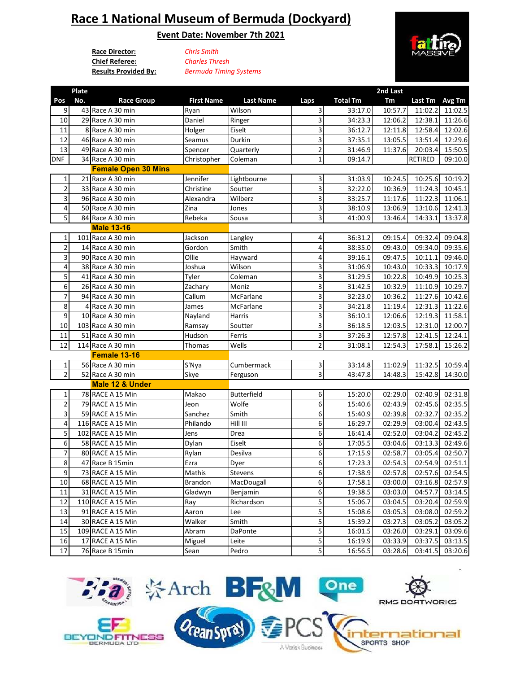## **Race 1 National Museum of Bermuda (Dockyard)**

**Event Date: November 7th 2021**

**Race Director:** *Chris Smith* **Chief Referee:**

**Plate** 

**Results Provided By:** *Bermuda Timing Systems Charles Thresh*



**2nd Last** 

| Pos            | No. | <b>Race Group</b>          | <b>First Name</b> | <b>Last Name</b>   | Laps                    | <b>Total Tm</b> | Tm      | Last Tm | Avg Tm          |
|----------------|-----|----------------------------|-------------------|--------------------|-------------------------|-----------------|---------|---------|-----------------|
| 9              |     | 43 Race A 30 min           | Ryan              | Wilson             | 3                       | 33:17.0         | 10:57.7 | 11:02.2 | 11:02.5         |
| 10             |     | 29 Race A 30 min           | Daniel            | Ringer             | 3                       | 34:23.3         | 12:06.2 | 12:38.1 | 11:26.6         |
| $11\,$         |     | 8 Race A 30 min            | Holger            | Eiselt             | 3                       | 36:12.7         | 12:11.8 | 12:58.4 | 12:02.6         |
| 12             |     | 46 Race A 30 min           | Seamus            | Durkin             | 3                       | 37:35.1         | 13:05.5 | 13:51.4 | 12:29.6         |
| 13             |     | 49 Race A 30 min           | Spencer           | Quarterly          | $\overline{2}$          | 31:46.9         | 11:37.6 | 20:03.4 | 15:50.5         |
| <b>DNF</b>     |     | 34 Race A 30 min           | Christopher       | Coleman            | $\mathbf{1}$            | 09:14.7         |         | RETIRED | 09:10.0         |
|                |     | <b>Female Open 30 Mins</b> |                   |                    |                         |                 |         |         |                 |
| 1              |     | 21 Race A 30 min           | Jennifer          | Lightbourne        | 3                       | 31:03.9         | 10:24.5 | 10:25.6 | 10:19.2         |
| 2              |     | 33 Race A 30 min           | Christine         | Soutter            | 3                       | 32:22.0         | 10:36.9 | 11:24.3 | 10:45.1         |
| 3              |     | 96 Race A 30 min           | Alexandra         | Wilberz            | $\overline{3}$          | 33:25.7         | 11:17.6 | 11:22.3 | 11:06.1         |
| 4              |     | 50 Race A 30 min           | Zina              | Jones              | 3                       | 38:10.9         | 13:06.9 | 13:10.6 | 12:41.3         |
| 5              |     | 84 Race A 30 min           | Rebeka            | Sousa              | 3                       | 41:00.9         | 13:46.4 | 14:33.1 | 13:37.8         |
|                |     | <b>Male 13-16</b>          |                   |                    |                         |                 |         |         |                 |
| 1              |     | 101 Race A 30 min          | Jackson           | Langley            | 4                       | 36:31.2         | 09:15.4 | 09:32.4 | 09:04.8         |
| 2              |     | 14 Race A 30 min           | Gordon            | Smith              | 4                       | 38:35.0         | 09:43.0 | 09:34.0 | 09:35.6         |
| 3              |     | 90 Race A 30 min           | Ollie             | Hayward            | 4                       | 39:16.1         | 09:47.5 | 10:11.1 | 09:46.0         |
| 4              |     | 38 Race A 30 min           | Joshua            | Wilson             | 3                       | 31:06.9         | 10:43.0 | 10:33.3 | 10:17.9         |
| 5              |     | 41 Race A 30 min           | Tyler             | Coleman            | 3                       | 31:29.5         | 10:22.8 | 10:49.9 | 10:25.3         |
| 6              |     | 26 Race A 30 min           | Zachary           | Moniz              | 3                       | 31:42.5         | 10:32.9 | 11:10.9 | 10:29.7         |
| $\overline{7}$ |     | 94 Race A 30 min           | Callum            | McFarlane          | 3                       | 32:23.0         | 10:36.2 | 11:27.6 | 10:42.6         |
| 8              |     | 4 Race A 30 min            | James             | McFarlane          | $\overline{\mathbf{3}}$ | 34:21.8         | 11:19.4 | 12:31.3 | 11:22.6         |
| 9              |     | 10 Race A 30 min           | Nayland           | Harris             | 3                       | 36:10.1         | 12:06.6 | 12:19.3 | 11:58.1         |
| 10             |     | 103 Race A 30 min          | Ramsay            | Soutter            | 3                       | 36:18.5         | 12:03.5 | 12:31.0 | 12:00.7         |
| 11             |     | 51 Race A 30 min           | Hudson            | Ferris             | 3                       | 37:26.3         | 12:57.8 | 12:41.5 | 12:24.1         |
| 12             |     | 114 Race A 30 min          | Thomas            | Wells              | $\overline{2}$          | 31:08.1         | 12:54.3 | 17:58.1 | 15:26.2         |
|                |     | Female 13-16               |                   |                    |                         |                 |         |         |                 |
| $\mathbf 1$    |     | 56 Race A 30 min           | S'Nya             | Cumbermack         | 3                       | 33:14.8         | 11:02.9 | 11:32.5 | 10:59.4         |
| $\overline{2}$ |     | 52 Race A 30 min           | Skye              | Ferguson           | $\overline{\mathbf{3}}$ | 43:47.8         | 14:48.3 | 15:42.8 | 14:30.0         |
|                |     | Male 12 & Under            |                   |                    |                         |                 |         |         |                 |
| 1              |     | 78 RACE A 15 Min           | Makao             | <b>Butterfield</b> | 6                       | 15:20.0         | 02:29.0 | 02:40.9 | 02:31.8         |
| $\mathbf 2$    |     | 79 RACE A 15 Min           | Jeon              | Wolfe              | 6                       | 15:40.6         | 02:43.9 | 02:45.6 | 02:35.5         |
| 3              |     | 59 RACE A 15 Min           | Sanchez           | Smith              | 6                       | 15:40.9         | 02:39.8 | 02:32.7 | 02:35.2         |
| 4              |     | 116 RACE A 15 Min          | Philando          | Hill III           | 6                       | 16:29.7         | 02:29.9 | 03:00.4 | 02:43.5         |
| 5              |     | 102 RACE A 15 Min          | Jens              | Drea               | 6                       | 16:41.4         | 02:52.0 | 03:04.2 | 02:45.2         |
| 6              |     | 58 RACE A 15 Min           | Dylan             | Eiselt             | 6                       | 17:05.5         | 03:04.6 | 03:13.3 | 02:49.6         |
| $\overline{7}$ |     | 80 RACE A 15 Min           | Rylan             | Desilva            | 6                       | 17:15.9         | 02:58.7 | 03:05.4 | 02:50.7         |
| 8              |     | 47 Race B 15min            | Ezra              | Dyer               | 6                       | 17:23.3         | 02:54.3 | 02:54.9 | 02:51.1         |
| 9              |     | 73 RACE A 15 Min           | Mathis            | Stevens            | 6                       | 17:38.9         | 02:57.8 | 02:57.6 | 02:54.5         |
| 10             |     | 68 RACE A 15 Min           | Brandon           | MacDougall         | $6 \mid$                | 17:58.1         | 03:00.0 |         | 03:16.8 02:57.9 |
| $11\,$         |     | 31 RACE A 15 Min           | Gladwyn           | Benjamin           | 6                       | 19:38.5         | 03:03.0 | 04:57.7 | 03:14.5         |
| 12             |     | 110 RACE A 15 Min          | Ray               | Richardson         | 5                       | 15:06.7         | 03:04.5 | 03:20.4 | 02:59.9         |
| 13             |     | 91 RACE A 15 Min           | Aaron             | Lee                | 5                       | 15:08.6         | 03:05.3 | 03:08.0 | 02:59.2         |
| 14             |     | 30 RACE A 15 Min           | Walker            | Smith              | 5                       | 15:39.2         | 03:27.3 | 03:05.2 | 03:05.2         |
| 15             |     | 109 RACE A 15 Min          | Abram             | DaPonte            | 5                       | 16:01.5         | 03:26.0 | 03:29.1 | 03:09.6         |
| 16             |     | 17 RACE A 15 Min           | Miguel            | Leite              | $\overline{5}$          | 16:19.9         | 03:33.9 | 03:37.5 | 03:13.5         |
| 17             |     | 76 Race B 15min            | Sean              | Pedro              | 5                       | 16:56.5         | 03:28.6 | 03:41.5 | 03:20.6         |